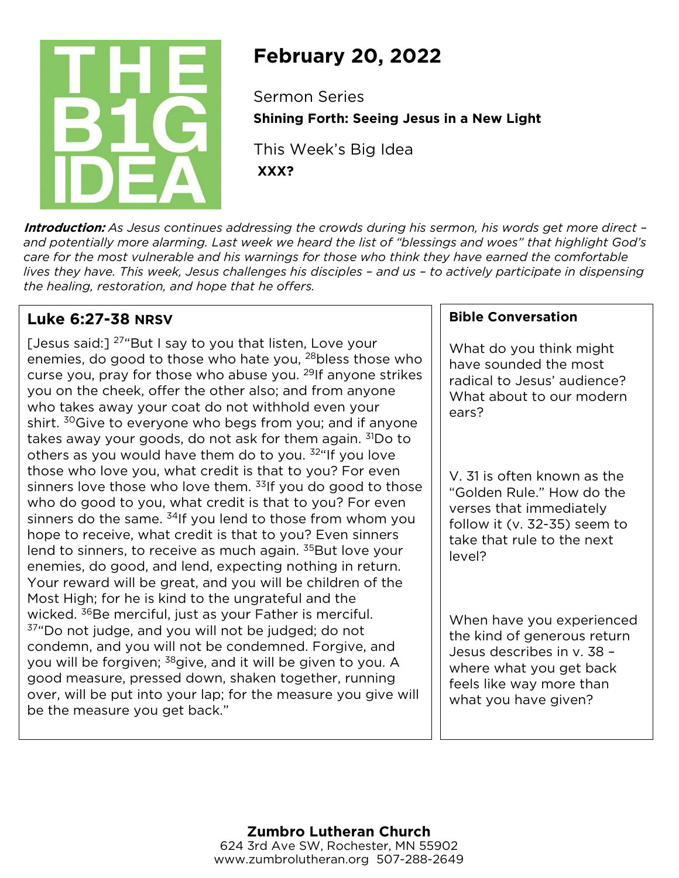

# **February 20, 2022**

Sermon Series **Shining Forth: Seeing Jesus in a New Light**

This Week's Big Idea **XXX?**

**Introduction:** *As Jesus continues addressing the crowds during his sermon, his words get more direct – and potentially more alarming. Last week we heard the list of "blessings and woes" that highlight God's care for the most vulnerable and his warnings for those who think they have earned the comfortable lives they have. This week, Jesus challenges his disciples – and us – to actively participate in dispensing the healing, restoration, and hope that he offers.*

## **Luke 6:27-38 NRSV**

[Jesus said:]  $27$ "But I say to you that listen, Love your enemies, do good to those who hate you, <sup>28</sup>bless those who curse you, pray for those who abuse you. 29If anyone strikes you on the cheek, offer the other also; and from anyone who takes away your coat do not withhold even your shirt. <sup>30</sup>Give to everyone who begs from you; and if anyone takes away your goods, do not ask for them again.  $31$ Do to others as you would have them do to you. <sup>32"</sup>If you love those who love you, what credit is that to you? For even sinners love those who love them.  $33$ If you do good to those who do good to you, what credit is that to you? For even sinners do the same.  $34$ If you lend to those from whom you hope to receive, what credit is that to you? Even sinners lend to sinners, to receive as much again. <sup>35</sup>But love your enemies, do good, and lend, expecting nothing in return. Your reward will be great, and you will be children of the Most High; for he is kind to the ungrateful and the wicked. <sup>36</sup>Be merciful, just as your Father is merciful.  $37^{\circ}$ Do not judge, and you will not be judged; do not condemn, and you will not be condemned. Forgive, and you will be forgiven; <sup>38</sup>give, and it will be given to you. A good measure, pressed down, shaken together, running over, will be put into your lap; for the measure you give will be the measure you get back."

### **Bible Conversation**

What do you think might have sounded the most radical to Jesus' audience? What about to our modern ears?

V. 31 is often known as the "Golden Rule." How do the verses that immediately follow it (v. 32-35) seem to take that rule to the next level?

When have you experienced the kind of generous return Jesus describes in v. 38 – where what you get back feels like way more than what you have given?